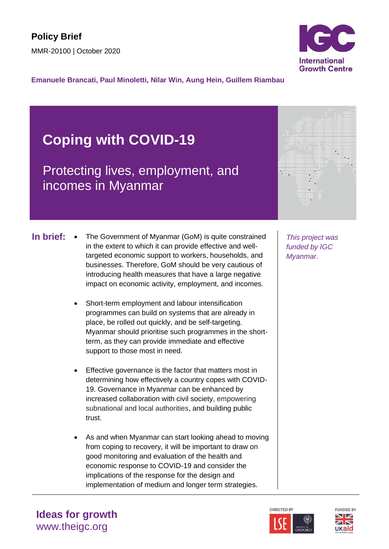

**Emanuele Brancati, Paul Minoletti, Nilar Win, Aung Hein, Guillem Riambau**

# **Coping with COVID-19**

Protecting lives, employment, and incomes in Myanmar

- **In brief:** The Government of Myanmar (GoM) is quite constrained | This project was in the extent to which it can provide effective and welltargeted economic support to workers, households, and businesses. Therefore, GoM should be very cautious of introducing health measures that have a large negative impact on economic activity, employment, and incomes.
	- Short-term employment and labour intensification programmes can build on systems that are already in place, be rolled out quickly, and be self-targeting. Myanmar should prioritise such programmes in the shortterm, as they can provide immediate and effective support to those most in need.
	- Effective governance is the factor that matters most in determining how effectively a country copes with COVID-19. Governance in Myanmar can be enhanced by increased collaboration with civil society, empowering subnational and local authorities, and building public trust.
	- As and when Myanmar can start looking ahead to moving from coping to recovery, it will be important to draw on good monitoring and evaluation of the health and economic response to COVID-19 and consider the implications of the response for the design and implementation of medium and longer term strategies.

*funded by IGC Myanmar.* 





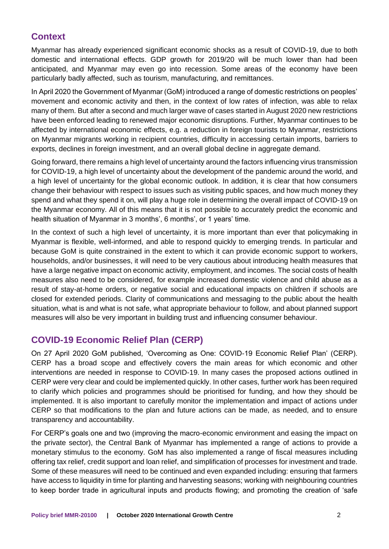# **Context**

Myanmar has already experienced significant economic shocks as a result of COVID-19, due to both domestic and international effects. GDP growth for 2019/20 will be much lower than had been anticipated, and Myanmar may even go into recession. Some areas of the economy have been particularly badly affected, such as tourism, manufacturing, and remittances.

In April 2020 the Government of Myanmar (GoM) introduced a range of domestic restrictions on peoples' movement and economic activity and then, in the context of low rates of infection, was able to relax many of them. But after a second and much larger wave of cases started in August 2020 new restrictions have been enforced leading to renewed major economic disruptions. Further, Myanmar continues to be affected by international economic effects, e.g. a reduction in foreign tourists to Myanmar, restrictions on Myanmar migrants working in recipient countries, difficulty in accessing certain imports, barriers to exports, declines in foreign investment, and an overall global decline in aggregate demand.

Going forward, there remains a high level of uncertainty around the factors influencing virus transmission for COVID-19, a high level of uncertainty about the development of the pandemic around the world, and a high level of uncertainty for the global economic outlook. In addition, it is clear that how consumers change their behaviour with respect to issues such as visiting public spaces, and how much money they spend and what they spend it on, will play a huge role in determining the overall impact of COVID-19 on the Myanmar economy. All of this means that it is not possible to accurately predict the economic and health situation of Myanmar in 3 months', 6 months', or 1 years' time.

In the context of such a high level of uncertainty, it is more important than ever that policymaking in Myanmar is flexible, well-informed, and able to respond quickly to emerging trends. In particular and because GoM is quite constrained in the extent to which it can provide economic support to workers, households, and/or businesses, it will need to be very cautious about introducing health measures that have a large negative impact on economic activity, employment, and incomes. The social costs of health measures also need to be considered, for example increased domestic violence and child abuse as a result of stay-at-home orders, or negative social and educational impacts on children if schools are closed for extended periods. Clarity of communications and messaging to the public about the health situation, what is and what is not safe, what appropriate behaviour to follow, and about planned support measures will also be very important in building trust and influencing consumer behaviour.

# **COVID-19 Economic Relief Plan (CERP)**

On 27 April 2020 GoM published, 'Overcoming as One: COVID-19 Economic Relief Plan' (CERP). CERP has a broad scope and effectively covers the main areas for which economic and other interventions are needed in response to COVID-19. In many cases the proposed actions outlined in CERP were very clear and could be implemented quickly. In other cases, further work has been required to clarify which policies and programmes should be prioritised for funding, and how they should be implemented. It is also important to carefully monitor the implementation and impact of actions under CERP so that modifications to the plan and future actions can be made, as needed, and to ensure transparency and accountability.

For CERP's goals one and two (improving the macro-economic environment and easing the impact on the private sector), the Central Bank of Myanmar has implemented a range of actions to provide a monetary stimulus to the economy. GoM has also implemented a range of fiscal measures including offering tax relief, credit support and loan relief, and simplification of processes for investment and trade. Some of these measures will need to be continued and even expanded including: ensuring that farmers have access to liquidity in time for planting and harvesting seasons; working with neighbouring countries to keep border trade in agricultural inputs and products flowing; and promoting the creation of 'safe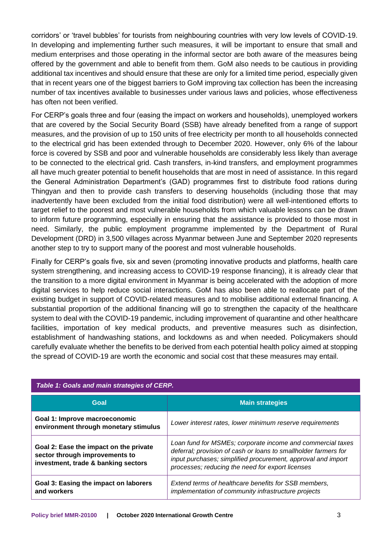corridors' or 'travel bubbles' for tourists from neighbouring countries with very low levels of COVID-19. In developing and implementing further such measures, it will be important to ensure that small and medium enterprises and those operating in the informal sector are both aware of the measures being offered by the government and able to benefit from them. GoM also needs to be cautious in providing additional tax incentives and should ensure that these are only for a limited time period, especially given that in recent years one of the biggest barriers to GoM improving tax collection has been the increasing number of tax incentives available to businesses under various laws and policies, whose effectiveness has often not been verified.

For CERP's goals three and four (easing the impact on workers and households), unemployed workers that are covered by the Social Security Board (SSB) have already benefited from a range of support measures, and the provision of up to 150 units of free electricity per month to all households connected to the electrical grid has been extended through to December 2020. However, only 6% of the labour force is covered by SSB and poor and vulnerable households are considerably less likely than average to be connected to the electrical grid. Cash transfers, in-kind transfers, and employment programmes all have much greater potential to benefit households that are most in need of assistance. In this regard the General Administration Department's (GAD) programmes first to distribute food rations during Thingyan and then to provide cash transfers to deserving households (including those that may inadvertently have been excluded from the initial food distribution) were all well-intentioned efforts to target relief to the poorest and most vulnerable households from which valuable lessons can be drawn to inform future programming, especially in ensuring that the assistance is provided to those most in need. Similarly, the public employment programme implemented by the Department of Rural Development (DRD) in 3,500 villages across Myanmar between June and September 2020 represents another step to try to support many of the poorest and most vulnerable households.

Finally for CERP's goals five, six and seven (promoting innovative products and platforms, health care system strengthening, and increasing access to COVID-19 response financing), it is already clear that the transition to a more digital environment in Myanmar is being accelerated with the adoption of more digital services to help reduce social interactions. GoM has also been able to reallocate part of the existing budget in support of COVID-related measures and to mobilise additional external financing. A substantial proportion of the additional financing will go to strengthen the capacity of the healthcare system to deal with the COVID-19 pandemic, including improvement of quarantine and other healthcare facilities, importation of key medical products, and preventive measures such as disinfection, establishment of handwashing stations, and lockdowns as and when needed. Policymakers should carefully evaluate whether the benefits to be derived from each potential health policy aimed at stopping the spread of COVID-19 are worth the economic and social cost that these measures may entail.

| Table 1: Goals and main strategies of CERP.                                                                     |                                                                                                                                                                                                                                                   |
|-----------------------------------------------------------------------------------------------------------------|---------------------------------------------------------------------------------------------------------------------------------------------------------------------------------------------------------------------------------------------------|
| Goal                                                                                                            | <b>Main strategies</b>                                                                                                                                                                                                                            |
| Goal 1: Improve macroeconomic<br>environment through monetary stimulus                                          | Lower interest rates, lower minimum reserve requirements                                                                                                                                                                                          |
| Goal 2: Ease the impact on the private<br>sector through improvements to<br>investment, trade & banking sectors | Loan fund for MSMEs; corporate income and commercial taxes<br>deferral; provision of cash or loans to smallholder farmers for<br>input purchases; simplified procurement, approval and import<br>processes; reducing the need for export licenses |
| Goal 3: Easing the impact on laborers<br>and workers                                                            | Extend terms of healthcare benefits for SSB members,<br>implementation of community infrastructure projects                                                                                                                                       |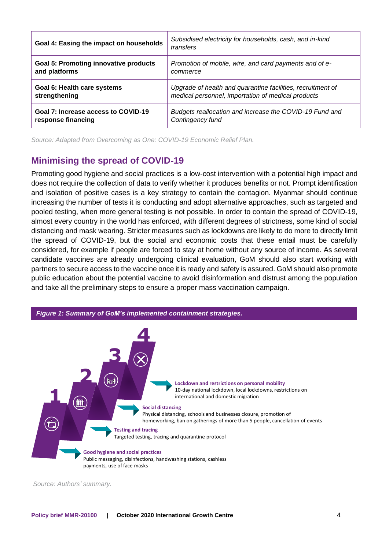| Goal 4: Easing the impact on households      | Subsidised electricity for households, cash, and in-kind<br>transfers |
|----------------------------------------------|-----------------------------------------------------------------------|
| <b>Goal 5: Promoting innovative products</b> | Promotion of mobile, wire, and card payments and of e-                |
| and platforms                                | commerce                                                              |
| Goal 6: Health care systems                  | Upgrade of health and quarantine facilities, recruitment of           |
| strengthening                                | medical personnel, importation of medical products                    |
| Goal 7: Increase access to COVID-19          | Budgets reallocation and increase the COVID-19 Fund and               |
| response financing                           | Contingency fund                                                      |

*Source: Adapted from Overcoming as One: COVID-19 Economic Relief Plan.*

# **Minimising the spread of COVID-19**

Promoting good hygiene and social practices is a low-cost intervention with a potential high impact and does not require the collection of data to verify whether it produces benefits or not. Prompt identification and isolation of positive cases is a key strategy to contain the contagion. Myanmar should continue increasing the number of tests it is conducting and adopt alternative approaches, such as targeted and pooled testing, when more general testing is not possible. In order to contain the spread of COVID-19, almost every country in the world has enforced, with different degrees of strictness, some kind of social distancing and mask wearing. Stricter measures such as lockdowns are likely to do more to directly limit the spread of COVID-19, but the social and economic costs that these entail must be carefully considered, for example if people are forced to stay at home without any source of income. As several candidate vaccines are already undergoing clinical evaluation, GoM should also start working with partners to secure access to the vaccine once it is ready and safety is assured. GoM should also promote public education about the potential vaccine to avoid disinformation and distrust among the population and take all the preliminary steps to ensure a proper mass vaccination campaign.



*Source: Authors' summary.*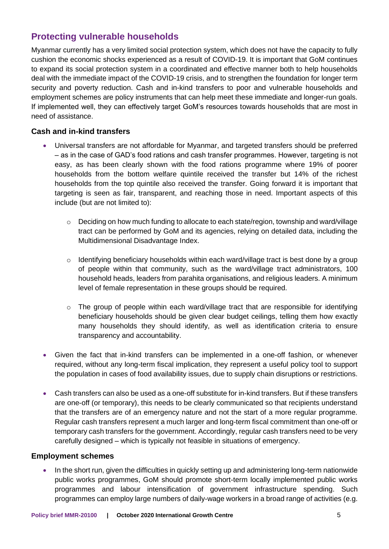# **Protecting vulnerable households**

Myanmar currently has a very limited social protection system, which does not have the capacity to fully cushion the economic shocks experienced as a result of COVID-19. It is important that GoM continues to expand its social protection system in a coordinated and effective manner both to help households deal with the immediate impact of the COVID-19 crisis, and to strengthen the foundation for longer term security and poverty reduction. Cash and in-kind transfers to poor and vulnerable households and employment schemes are policy instruments that can help meet these immediate and longer-run goals. If implemented well, they can effectively target GoM's resources towards households that are most in need of assistance.

#### **Cash and in-kind transfers**

- Universal transfers are not affordable for Myanmar, and targeted transfers should be preferred – as in the case of GAD's food rations and cash transfer programmes. However, targeting is not easy, as has been clearly shown with the food rations programme where 19% of poorer households from the bottom welfare quintile received the transfer but 14% of the richest households from the top quintile also received the transfer. Going forward it is important that targeting is seen as fair, transparent, and reaching those in need. Important aspects of this include (but are not limited to):
	- $\circ$  Deciding on how much funding to allocate to each state/region, township and ward/village tract can be performed by GoM and its agencies, relying on detailed data, including the Multidimensional Disadvantage Index.
	- $\circ$  Identifying beneficiary households within each ward/village tract is best done by a group of people within that community, such as the ward/village tract administrators, 100 household heads, leaders from parahita organisations, and religious leaders. A minimum level of female representation in these groups should be required.
	- $\circ$  The group of people within each ward/village tract that are responsible for identifying beneficiary households should be given clear budget ceilings, telling them how exactly many households they should identify, as well as identification criteria to ensure transparency and accountability.
- Given the fact that in-kind transfers can be implemented in a one-off fashion, or whenever required, without any long-term fiscal implication, they represent a useful policy tool to support the population in cases of food availability issues, due to supply chain disruptions or restrictions.
- Cash transfers can also be used as a one-off substitute for in-kind transfers. But if these transfers are one-off (or temporary), this needs to be clearly communicated so that recipients understand that the transfers are of an emergency nature and not the start of a more regular programme. Regular cash transfers represent a much larger and long-term fiscal commitment than one-off or temporary cash transfers for the government. Accordingly, regular cash transfers need to be very carefully designed – which is typically not feasible in situations of emergency.

#### **Employment schemes**

• In the short run, given the difficulties in quickly setting up and administering long-term nationwide public works programmes, GoM should promote short-term locally implemented public works programmes and labour intensification of government infrastructure spending. Such programmes can employ large numbers of daily-wage workers in a broad range of activities (e.g.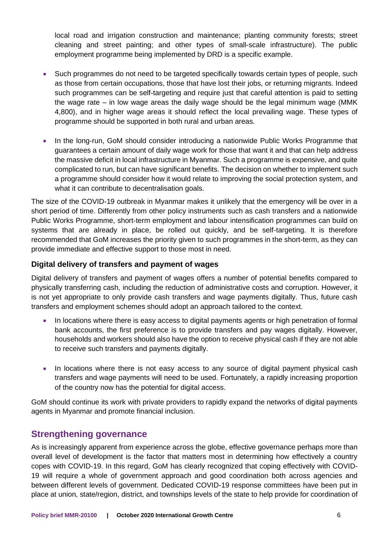local road and irrigation construction and maintenance; planting community forests; street cleaning and street painting; and other types of small-scale infrastructure). The public employment programme being implemented by DRD is a specific example.

- Such programmes do not need to be targeted specifically towards certain types of people, such as those from certain occupations, those that have lost their jobs, or returning migrants. Indeed such programmes can be self-targeting and require just that careful attention is paid to setting the wage rate – in low wage areas the daily wage should be the legal minimum wage (MMK 4,800), and in higher wage areas it should reflect the local prevailing wage. These types of programme should be supported in both rural and urban areas.
- In the long-run, GoM should consider introducing a nationwide Public Works Programme that guarantees a certain amount of daily wage work for those that want it and that can help address the massive deficit in local infrastructure in Myanmar. Such a programme is expensive, and quite complicated to run, but can have significant benefits. The decision on whether to implement such a programme should consider how it would relate to improving the social protection system, and what it can contribute to decentralisation goals.

The size of the COVID-19 outbreak in Myanmar makes it unlikely that the emergency will be over in a short period of time. Differently from other policy instruments such as cash transfers and a nationwide Public Works Programme, short-term employment and labour intensification programmes can build on systems that are already in place, be rolled out quickly, and be self-targeting. It is therefore recommended that GoM increases the priority given to such programmes in the short-term, as they can provide immediate and effective support to those most in need.

#### **Digital delivery of transfers and payment of wages**

Digital delivery of transfers and payment of wages offers a number of potential benefits compared to physically transferring cash, including the reduction of administrative costs and corruption. However, it is not yet appropriate to only provide cash transfers and wage payments digitally. Thus, future cash transfers and employment schemes should adopt an approach tailored to the context.

- In locations where there is easy access to digital payments agents or high penetration of formal bank accounts, the first preference is to provide transfers and pay wages digitally. However, households and workers should also have the option to receive physical cash if they are not able to receive such transfers and payments digitally.
- In locations where there is not easy access to any source of digital payment physical cash transfers and wage payments will need to be used. Fortunately, a rapidly increasing proportion of the country now has the potential for digital access.

GoM should continue its work with private providers to rapidly expand the networks of digital payments agents in Myanmar and promote financial inclusion.

### **Strengthening governance**

As is increasingly apparent from experience across the globe, effective governance perhaps more than overall level of development is the factor that matters most in determining how effectively a country copes with COVID-19. In this regard, GoM has clearly recognized that coping effectively with COVID-19 will require a whole of government approach and good coordination both across agencies and between different levels of government. Dedicated COVID-19 response committees have been put in place at union, state/region, district, and townships levels of the state to help provide for coordination of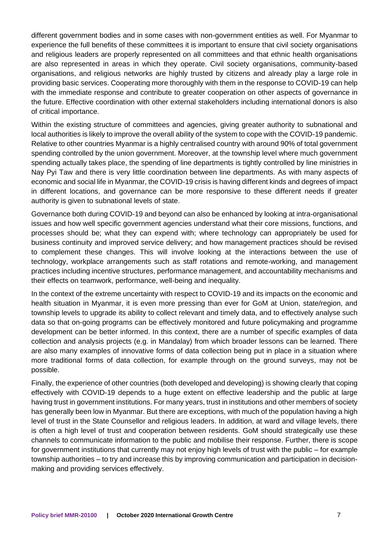different government bodies and in some cases with non-government entities as well. For Myanmar to experience the full benefits of these committees it is important to ensure that civil society organisations and religious leaders are properly represented on all committees and that ethnic health organisations are also represented in areas in which they operate. Civil society organisations, community-based organisations, and religious networks are highly trusted by citizens and already play a large role in providing basic services. Cooperating more thoroughly with them in the response to COVID-19 can help with the immediate response and contribute to greater cooperation on other aspects of governance in the future. Effective coordination with other external stakeholders including international donors is also of critical importance.

Within the existing structure of committees and agencies, giving greater authority to subnational and local authorities is likely to improve the overall ability of the system to cope with the COVID-19 pandemic. Relative to other countries Myanmar is a highly centralised country with around 90% of total government spending controlled by the union government. Moreover, at the township level where much government spending actually takes place, the spending of line departments is tightly controlled by line ministries in Nay Pyi Taw and there is very little coordination between line departments. As with many aspects of economic and social life in Myanmar, the COVID-19 crisis is having different kinds and degrees of impact in different locations, and governance can be more responsive to these different needs if greater authority is given to subnational levels of state.

Governance both during COVID-19 and beyond can also be enhanced by looking at intra-organisational issues and how well specific government agencies understand what their core missions, functions, and processes should be; what they can expend with; where technology can appropriately be used for business continuity and improved service delivery; and how management practices should be revised to complement these changes. This will involve looking at the interactions between the use of technology, workplace arrangements such as staff rotations and remote-working, and management practices including incentive structures, performance management, and accountability mechanisms and their effects on teamwork, performance, well-being and inequality.

In the context of the extreme uncertainty with respect to COVID-19 and its impacts on the economic and health situation in Myanmar, it is even more pressing than ever for GoM at Union, state/region, and township levels to upgrade its ability to collect relevant and timely data, and to effectively analyse such data so that on-going programs can be effectively monitored and future policymaking and programme development can be better informed. In this context, there are a number of specific examples of data collection and analysis projects (e.g. in Mandalay) from which broader lessons can be learned. There are also many examples of innovative forms of data collection being put in place in a situation where more traditional forms of data collection, for example through on the ground surveys, may not be possible.

Finally, the experience of other countries (both developed and developing) is showing clearly that coping effectively with COVID-19 depends to a huge extent on effective leadership and the public at large having trust in government institutions. For many years, trust in institutions and other members of society has generally been low in Myanmar. But there are exceptions, with much of the population having a high level of trust in the State Counsellor and religious leaders. In addition, at ward and village levels, there is often a high level of trust and cooperation between residents. GoM should strategically use these channels to communicate information to the public and mobilise their response. Further, there is scope for government institutions that currently may not enjoy high levels of trust with the public – for example township authorities – to try and increase this by improving communication and participation in decisionmaking and providing services effectively.